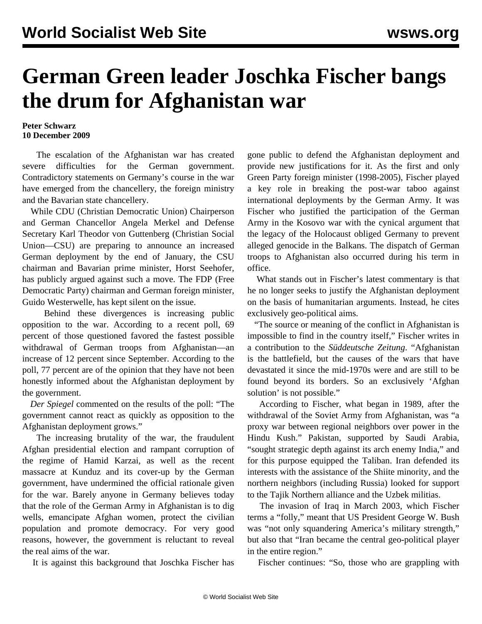## **German Green leader Joschka Fischer bangs the drum for Afghanistan war**

## **Peter Schwarz 10 December 2009**

 The escalation of the Afghanistan war has created severe difficulties for the German government. Contradictory statements on Germany's course in the war have emerged from the chancellery, the foreign ministry and the Bavarian state chancellery.

 While CDU (Christian Democratic Union) Chairperson and German Chancellor Angela Merkel and Defense Secretary Karl Theodor von Guttenberg (Christian Social Union—CSU) are preparing to announce an increased German deployment by the end of January, the CSU chairman and Bavarian prime minister, Horst Seehofer, has publicly argued against such a move. The FDP (Free Democratic Party) chairman and German foreign minister, Guido Westerwelle, has kept silent on the issue.

 Behind these divergences is increasing public opposition to the war. According to a recent poll, 69 percent of those questioned favored the fastest possible withdrawal of German troops from Afghanistan—an increase of 12 percent since September. According to the poll, 77 percent are of the opinion that they have not been honestly informed about the Afghanistan deployment by the government.

 *Der Spiegel* commented on the results of the poll: "The government cannot react as quickly as opposition to the Afghanistan deployment grows."

 The increasing brutality of the war, the fraudulent Afghan presidential election and rampant corruption of the regime of Hamid Karzai, as well as the recent massacre at Kunduz and its cover-up by the German government, have undermined the official rationale given for the war. Barely anyone in Germany believes today that the role of the German Army in Afghanistan is to dig wells, emancipate Afghan women, protect the civilian population and promote democracy. For very good reasons, however, the government is reluctant to reveal the real aims of the war.

It is against this background that Joschka Fischer has

gone public to defend the Afghanistan deployment and provide new justifications for it. As the first and only Green Party foreign minister (1998-2005), Fischer played a key role in breaking the post-war taboo against international deployments by the German Army. It was Fischer who justified the participation of the German Army in the Kosovo war with the cynical argument that the legacy of the Holocaust obliged Germany to prevent alleged genocide in the Balkans. The dispatch of German troops to Afghanistan also occurred during his term in office.

 What stands out in Fischer's latest commentary is that he no longer seeks to justify the Afghanistan deployment on the basis of humanitarian arguments. Instead, he cites exclusively geo-political aims.

 "The source or meaning of the conflict in Afghanistan is impossible to find in the country itself," Fischer writes in a contribution to the *Süddeutsche Zeitung*. "Afghanistan is the battlefield, but the causes of the wars that have devastated it since the mid-1970s were and are still to be found beyond its borders. So an exclusively 'Afghan solution' is not possible."

 According to Fischer, what began in 1989, after the withdrawal of the Soviet Army from Afghanistan, was "a proxy war between regional neighbors over power in the Hindu Kush." Pakistan, supported by Saudi Arabia, "sought strategic depth against its arch enemy India," and for this purpose equipped the Taliban. Iran defended its interests with the assistance of the Shiite minority, and the northern neighbors (including Russia) looked for support to the Tajik Northern alliance and the Uzbek militias.

 The invasion of Iraq in March 2003, which Fischer terms a "folly," meant that US President George W. Bush was "not only squandering America's military strength," but also that "Iran became the central geo-political player in the entire region."

Fischer continues: "So, those who are grappling with